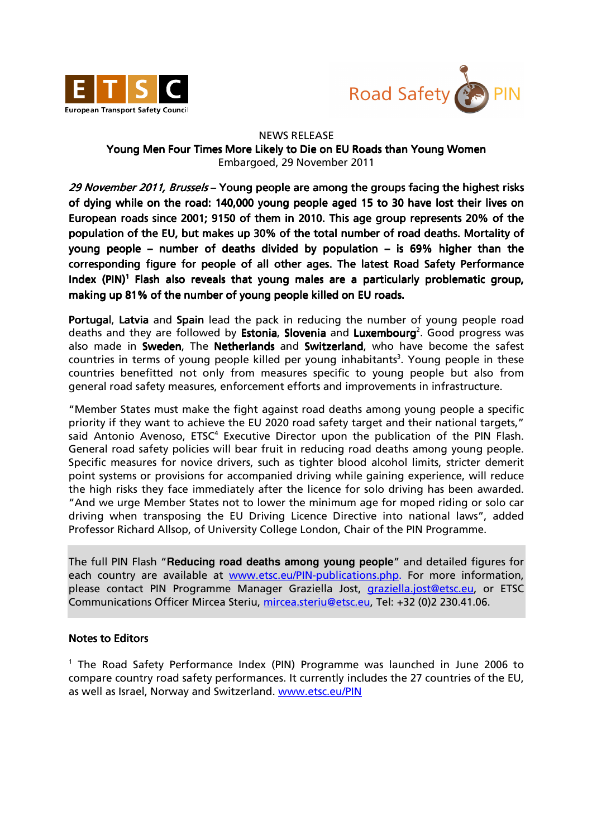



## NEWS RELEASE Young Men Four Times More Likely to Die on EU Roads than Young Women Embargoed, 29 November 2011

29 November 2011, Brussels – Young people are among the groups facing the highest risks of dying while on the road: 140,000 young people aged 15 to 30 have lost their lives on European roads since 2001; 9150 of them in 2010. This age group represents 20% of the population of the EU, but makes up 30% of the total number of road deaths. Mortality of young people – number of deaths divided by population – is 69% higher than the corresponding figure for people of all other ages. The latest Road Safety Performance Index (PIN)<sup>1</sup> Flash also reveals that young males are a particularly problematic group, making up 81% of the number of young people killed on EU roads.

Portugal, Latvia and Spain lead the pack in reducing the number of young people road deaths and they are followed by Estonia, Slovenia and Luxembourg<sup>2</sup>. Good progress was also made in Sweden, The Netherlands and Switzerland, who have become the safest countries in terms of young people killed per young inhabitants<sup>3</sup>. Young people in these countries benefitted not only from measures specific to young people but also from general road safety measures, enforcement efforts and improvements in infrastructure.

"Member States must make the fight against road deaths among young people a specific priority if they want to achieve the EU 2020 road safety target and their national targets," said Antonio Avenoso, ETSC<sup>4</sup> Executive Director upon the publication of the PIN Flash. General road safety policies will bear fruit in reducing road deaths among young people. Specific measures for novice drivers, such as tighter blood alcohol limits, stricter demerit point systems or provisions for accompanied driving while gaining experience, will reduce the high risks they face immediately after the licence for solo driving has been awarded. "And we urge Member States not to lower the minimum age for moped riding or solo car driving when transposing the EU Driving Licence Directive into national laws", added Professor Richard Allsop, of University College London, Chair of the PIN Programme.

The full PIN Flash "**Reducing road deaths among young people**" and detailed figures for each country are available at www.etsc.eu/PIN-publications.php. For more information, please contact PIN Programme Manager Graziella Jost, graziella.jost@etsc.eu, or ETSC Communications Officer Mircea Steriu, mircea.steriu@etsc.eu, Tel: +32 (0)2 230.41.06.

## Notes to Editors

<sup>1</sup> The Road Safety Performance Index (PIN) Programme was launched in June 2006 to compare country road safety performances. It currently includes the 27 countries of the EU, as well as Israel, Norway and Switzerland. www.etsc.eu/PIN